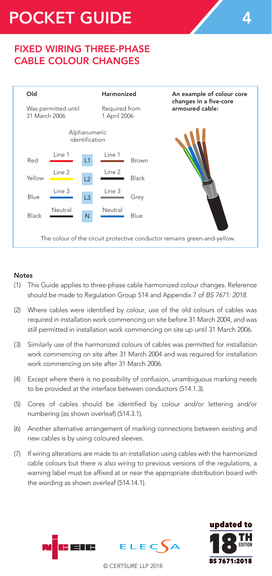# POCKET GUIDE 4

## FIXED WIRING THREE-PHASE CABLE COLOUR CHANGES



#### Notes

- (1) This Guide applies to three-phase cable harmonized colour changes. Reference should be made to Regulation Group 514 and Appendix 7 of *BS 7671: 2018*.
- (2) Where cables were identified by colour, use of the old colours of cables was required in installation work commencing on site before 31 March 2004, and was still permitted in installation work commencing on site up until 31 March 2006.
- (3) Similarly use of the harmonized colours of cables was permitted for installation work commencing on site after 31 March 2004 and was required for installation work commencing on site after 31 March 2006.
- (4) Except where there is no possibility of confusion, unambiguous marking needs to be provided at the interface between conductors (514.1.3).
- (5) Cores of cables should be identified by colour and/or lettering and/or numbering (as shown overleaf) (514.3.1).
- (6) Another alternative arrangement of marking connections between existing and new cables is by using coloured sleeves.
- (7) If wiring alterations are made to an installation using cables with the harmonized cable colours but there is also wiring to previous versions of the regulations, a warning label must be affixed at or near the appropriate distribution board with the wording as shown overleaf (514.14.1).





© CERTSURE LLP 2018